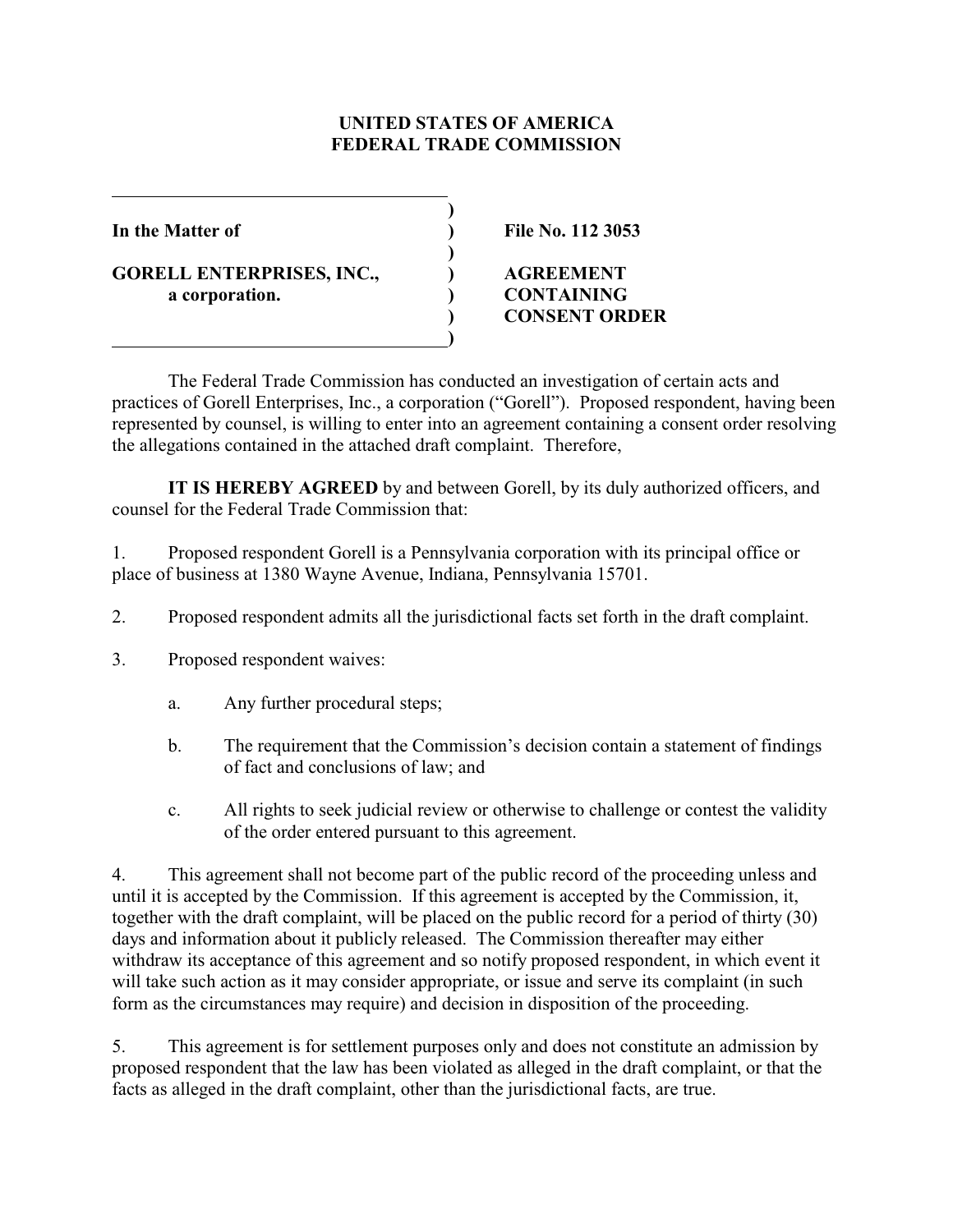# **UNITED STATES OF AMERICA FEDERAL TRADE COMMISSION**

**)**

**)**

**GORELL ENTERPRISES, INC., ) AGREEMENT a corporation. ) CONTAINING**

 **)**

**In the Matter of ) File No. 112 3053**

# **) CONSENT ORDER**

The Federal Trade Commission has conducted an investigation of certain acts and practices of Gorell Enterprises, Inc., a corporation ("Gorell"). Proposed respondent, having been represented by counsel, is willing to enter into an agreement containing a consent order resolving the allegations contained in the attached draft complaint. Therefore,

**IT IS HEREBY AGREED** by and between Gorell, by its duly authorized officers, and counsel for the Federal Trade Commission that:

1. Proposed respondent Gorell is a Pennsylvania corporation with its principal office or place of business at 1380 Wayne Avenue, Indiana, Pennsylvania 15701.

- 2. Proposed respondent admits all the jurisdictional facts set forth in the draft complaint.
- 3. Proposed respondent waives:
	- a. Any further procedural steps;
	- b. The requirement that the Commission's decision contain a statement of findings of fact and conclusions of law; and
	- c. All rights to seek judicial review or otherwise to challenge or contest the validity of the order entered pursuant to this agreement.

4. This agreement shall not become part of the public record of the proceeding unless and until it is accepted by the Commission. If this agreement is accepted by the Commission, it, together with the draft complaint, will be placed on the public record for a period of thirty (30) days and information about it publicly released. The Commission thereafter may either withdraw its acceptance of this agreement and so notify proposed respondent, in which event it will take such action as it may consider appropriate, or issue and serve its complaint (in such form as the circumstances may require) and decision in disposition of the proceeding.

5. This agreement is for settlement purposes only and does not constitute an admission by proposed respondent that the law has been violated as alleged in the draft complaint, or that the facts as alleged in the draft complaint, other than the jurisdictional facts, are true.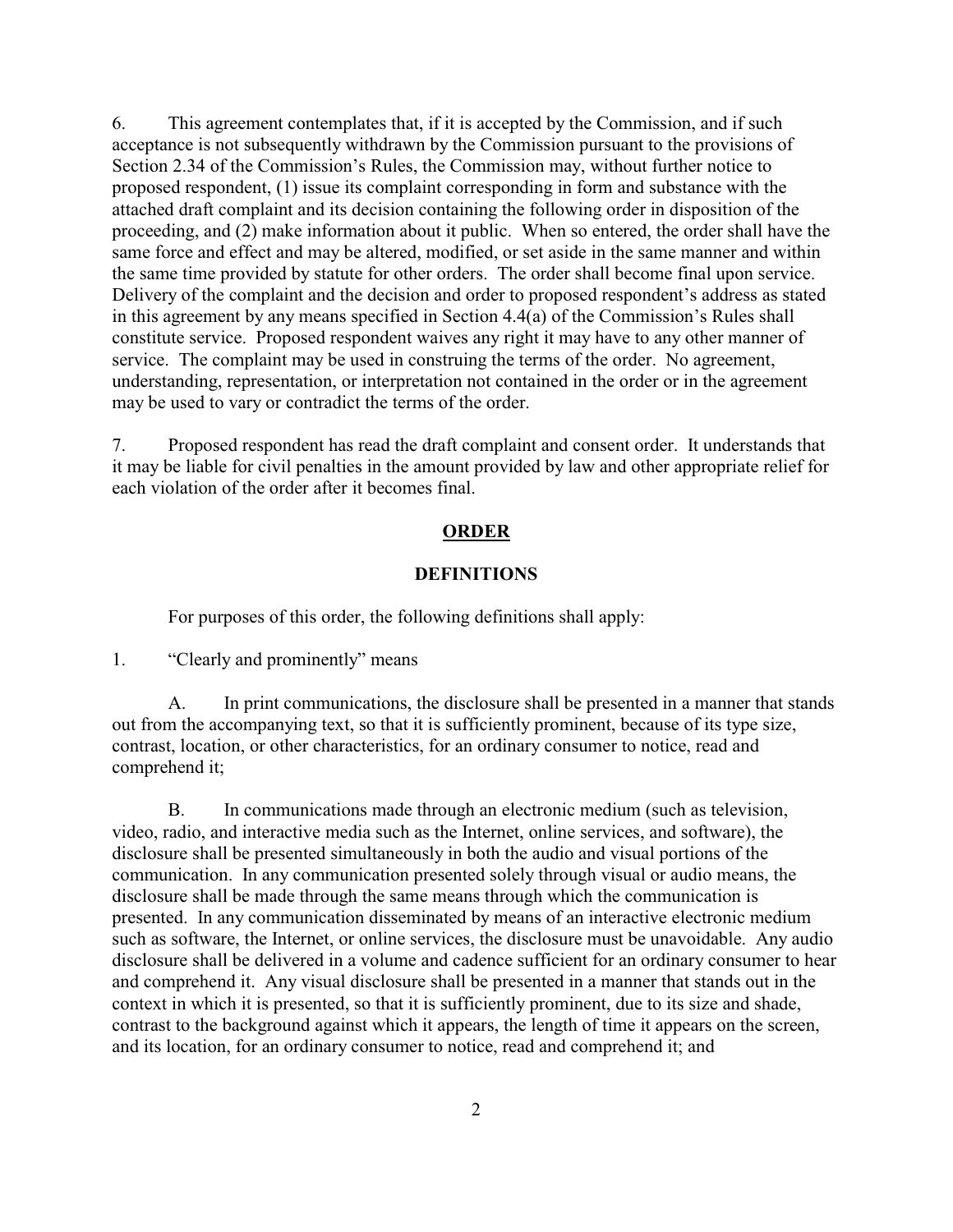6. This agreement contemplates that, if it is accepted by the Commission, and if such acceptance is not subsequently withdrawn by the Commission pursuant to the provisions of Section 2.34 of the Commission's Rules, the Commission may, without further notice to proposed respondent, (1) issue its complaint corresponding in form and substance with the attached draft complaint and its decision containing the following order in disposition of the proceeding, and (2) make information about it public. When so entered, the order shall have the same force and effect and may be altered, modified, or set aside in the same manner and within the same time provided by statute for other orders. The order shall become final upon service. Delivery of the complaint and the decision and order to proposed respondent's address as stated in this agreement by any means specified in Section 4.4(a) of the Commission's Rules shall constitute service. Proposed respondent waives any right it may have to any other manner of service. The complaint may be used in construing the terms of the order. No agreement, understanding, representation, or interpretation not contained in the order or in the agreement may be used to vary or contradict the terms of the order.

7. Proposed respondent has read the draft complaint and consent order. It understands that it may be liable for civil penalties in the amount provided by law and other appropriate relief for each violation of the order after it becomes final.

## **ORDER**

#### **DEFINITIONS**

For purposes of this order, the following definitions shall apply:

1. "Clearly and prominently" means

A. In print communications, the disclosure shall be presented in a manner that stands out from the accompanying text, so that it is sufficiently prominent, because of its type size, contrast, location, or other characteristics, for an ordinary consumer to notice, read and comprehend it;

B. In communications made through an electronic medium (such as television, video, radio, and interactive media such as the Internet, online services, and software), the disclosure shall be presented simultaneously in both the audio and visual portions of the communication. In any communication presented solely through visual or audio means, the disclosure shall be made through the same means through which the communication is presented. In any communication disseminated by means of an interactive electronic medium such as software, the Internet, or online services, the disclosure must be unavoidable. Any audio disclosure shall be delivered in a volume and cadence sufficient for an ordinary consumer to hear and comprehend it. Any visual disclosure shall be presented in a manner that stands out in the context in which it is presented, so that it is sufficiently prominent, due to its size and shade, contrast to the background against which it appears, the length of time it appears on the screen, and its location, for an ordinary consumer to notice, read and comprehend it; and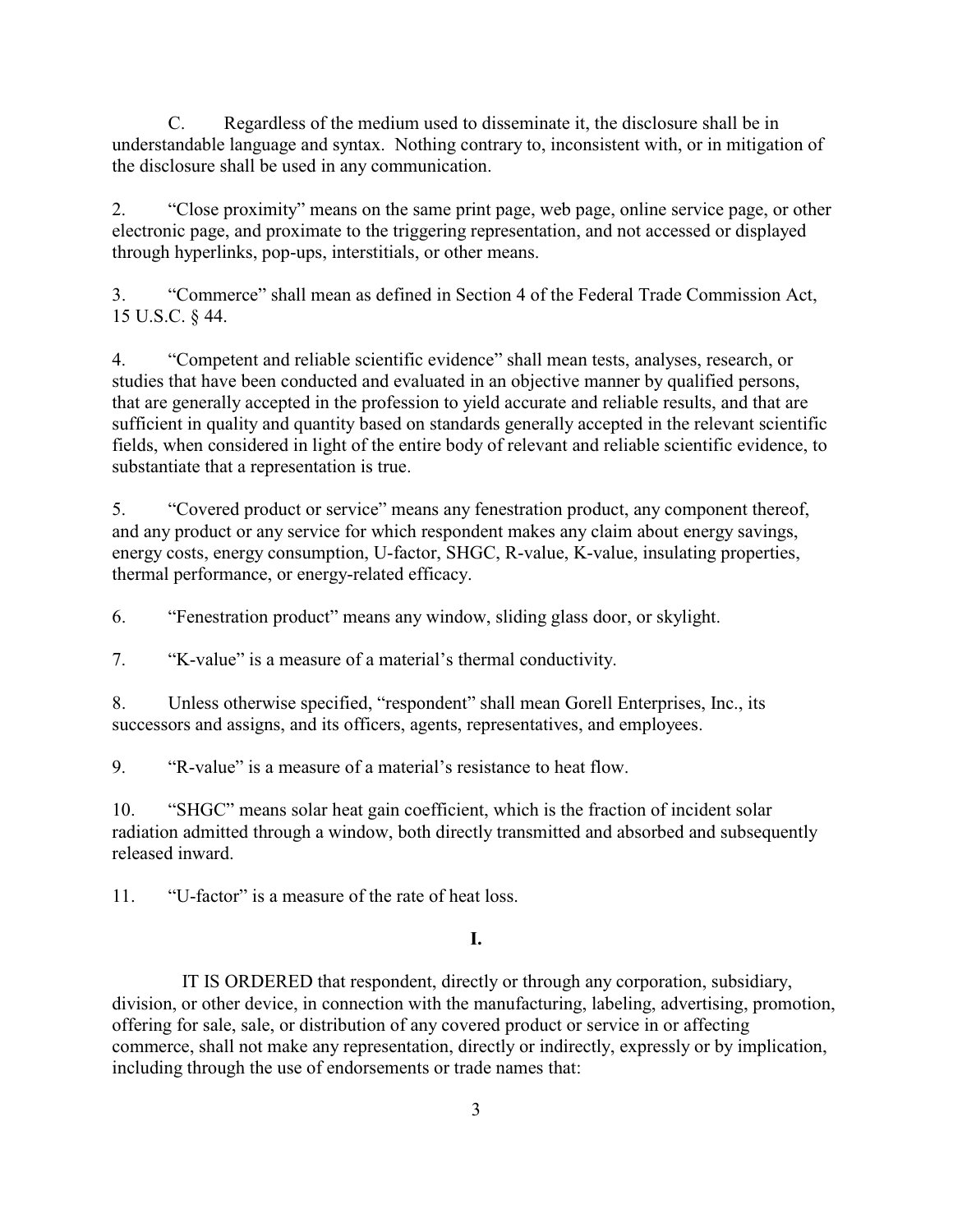C. Regardless of the medium used to disseminate it, the disclosure shall be in understandable language and syntax. Nothing contrary to, inconsistent with, or in mitigation of the disclosure shall be used in any communication.

2. "Close proximity" means on the same print page, web page, online service page, or other electronic page, and proximate to the triggering representation, and not accessed or displayed through hyperlinks, pop-ups, interstitials, or other means.

3. "Commerce" shall mean as defined in Section 4 of the Federal Trade Commission Act, 15 U.S.C. § 44.

4. "Competent and reliable scientific evidence" shall mean tests, analyses, research, or studies that have been conducted and evaluated in an objective manner by qualified persons, that are generally accepted in the profession to yield accurate and reliable results, and that are sufficient in quality and quantity based on standards generally accepted in the relevant scientific fields, when considered in light of the entire body of relevant and reliable scientific evidence, to substantiate that a representation is true.

5. "Covered product or service" means any fenestration product, any component thereof, and any product or any service for which respondent makes any claim about energy savings, energy costs, energy consumption, U-factor, SHGC, R-value, K-value, insulating properties, thermal performance, or energy-related efficacy.

6. "Fenestration product" means any window, sliding glass door, or skylight.

7. "K-value" is a measure of a material's thermal conductivity.

8. Unless otherwise specified, "respondent" shall mean Gorell Enterprises, Inc., its successors and assigns, and its officers, agents, representatives, and employees.

9. "R-value" is a measure of a material's resistance to heat flow.

10. "SHGC" means solar heat gain coefficient, which is the fraction of incident solar radiation admitted through a window, both directly transmitted and absorbed and subsequently released inward.

11. "U-factor" is a measure of the rate of heat loss.

# **I.**

 IT IS ORDERED that respondent, directly or through any corporation, subsidiary, division, or other device, in connection with the manufacturing, labeling, advertising, promotion, offering for sale, sale, or distribution of any covered product or service in or affecting commerce, shall not make any representation, directly or indirectly, expressly or by implication, including through the use of endorsements or trade names that: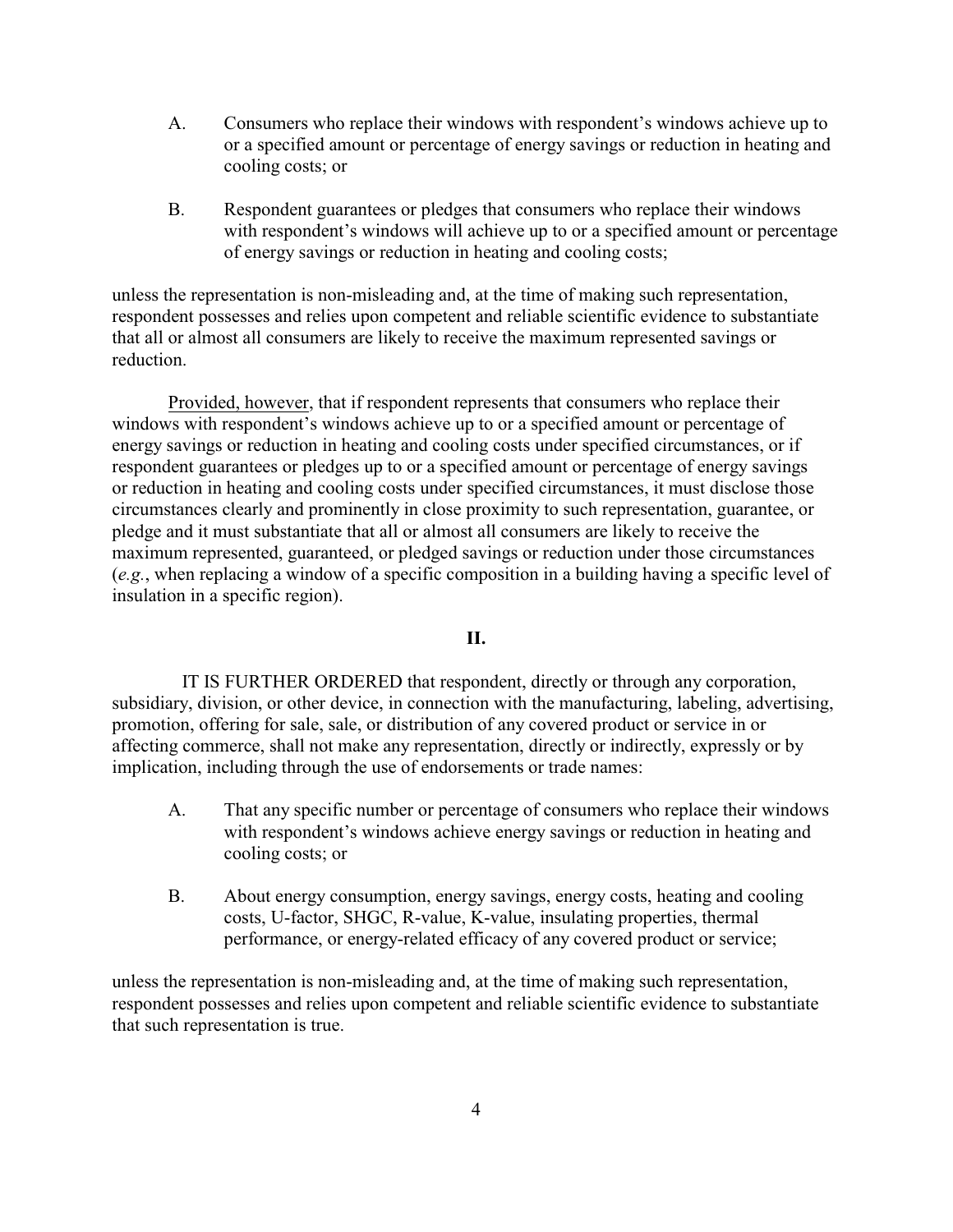- A. Consumers who replace their windows with respondent's windows achieve up to or a specified amount or percentage of energy savings or reduction in heating and cooling costs; or
- B. Respondent guarantees or pledges that consumers who replace their windows with respondent's windows will achieve up to or a specified amount or percentage of energy savings or reduction in heating and cooling costs;

unless the representation is non-misleading and, at the time of making such representation, respondent possesses and relies upon competent and reliable scientific evidence to substantiate that all or almost all consumers are likely to receive the maximum represented savings or reduction.

Provided, however, that if respondent represents that consumers who replace their windows with respondent's windows achieve up to or a specified amount or percentage of energy savings or reduction in heating and cooling costs under specified circumstances, or if respondent guarantees or pledges up to or a specified amount or percentage of energy savings or reduction in heating and cooling costs under specified circumstances, it must disclose those circumstances clearly and prominently in close proximity to such representation, guarantee, or pledge and it must substantiate that all or almost all consumers are likely to receive the maximum represented, guaranteed, or pledged savings or reduction under those circumstances (*e.g.*, when replacing a window of a specific composition in a building having a specific level of insulation in a specific region).

#### **II.**

 IT IS FURTHER ORDERED that respondent, directly or through any corporation, subsidiary, division, or other device, in connection with the manufacturing, labeling, advertising, promotion, offering for sale, sale, or distribution of any covered product or service in or affecting commerce, shall not make any representation, directly or indirectly, expressly or by implication, including through the use of endorsements or trade names:

- A. That any specific number or percentage of consumers who replace their windows with respondent's windows achieve energy savings or reduction in heating and cooling costs; or
- B. About energy consumption, energy savings, energy costs, heating and cooling costs, U-factor, SHGC, R-value, K-value, insulating properties, thermal performance, or energy-related efficacy of any covered product or service;

unless the representation is non-misleading and, at the time of making such representation, respondent possesses and relies upon competent and reliable scientific evidence to substantiate that such representation is true.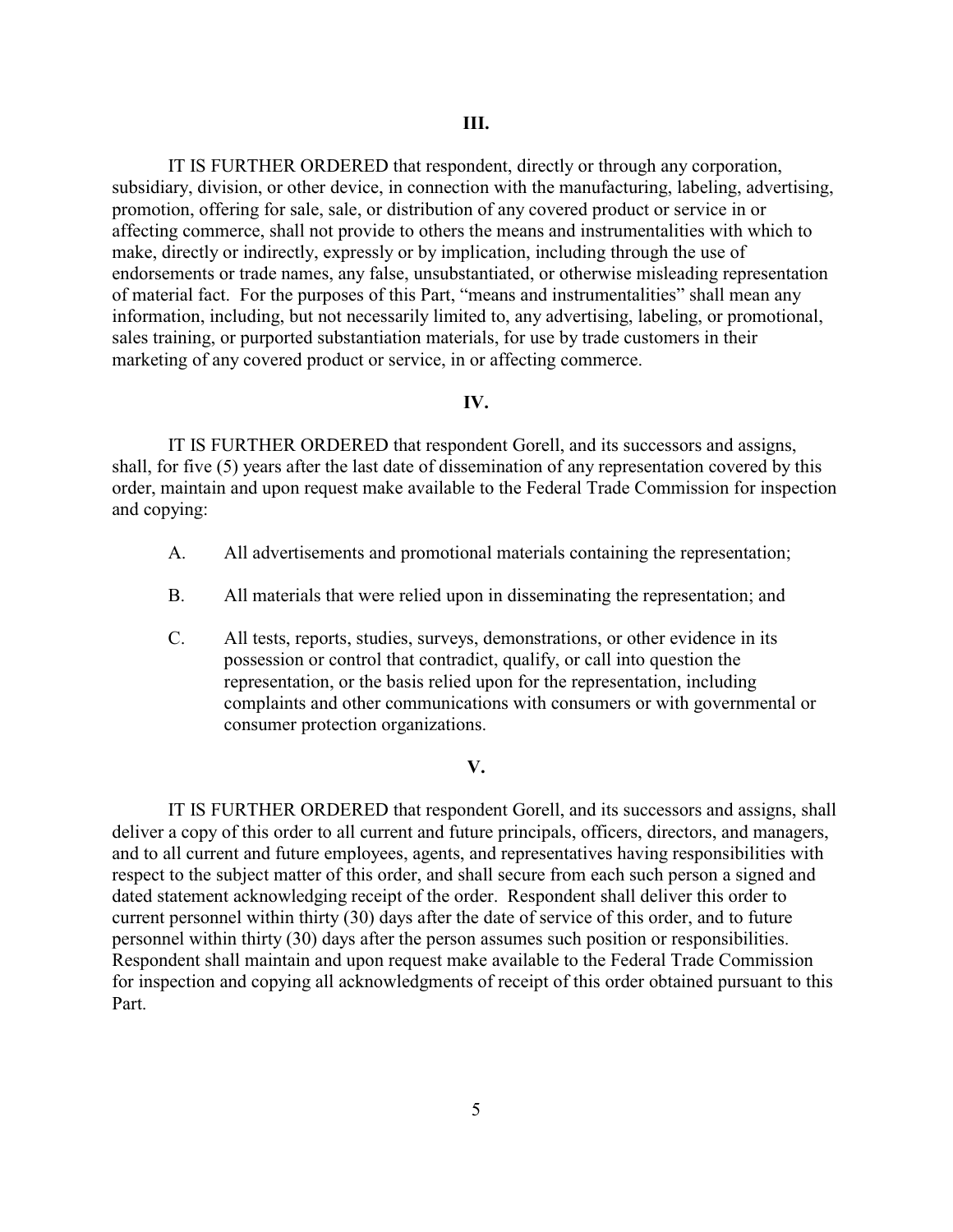IT IS FURTHER ORDERED that respondent, directly or through any corporation, subsidiary, division, or other device, in connection with the manufacturing, labeling, advertising, promotion, offering for sale, sale, or distribution of any covered product or service in or affecting commerce, shall not provide to others the means and instrumentalities with which to make, directly or indirectly, expressly or by implication, including through the use of endorsements or trade names, any false, unsubstantiated, or otherwise misleading representation of material fact. For the purposes of this Part, "means and instrumentalities" shall mean any information, including, but not necessarily limited to, any advertising, labeling, or promotional, sales training, or purported substantiation materials, for use by trade customers in their marketing of any covered product or service, in or affecting commerce.

## **IV.**

IT IS FURTHER ORDERED that respondent Gorell, and its successors and assigns, shall, for five (5) years after the last date of dissemination of any representation covered by this order, maintain and upon request make available to the Federal Trade Commission for inspection and copying:

- A. All advertisements and promotional materials containing the representation;
- B. All materials that were relied upon in disseminating the representation; and
- C. All tests, reports, studies, surveys, demonstrations, or other evidence in its possession or control that contradict, qualify, or call into question the representation, or the basis relied upon for the representation, including complaints and other communications with consumers or with governmental or consumer protection organizations.

#### **V.**

IT IS FURTHER ORDERED that respondent Gorell, and its successors and assigns, shall deliver a copy of this order to all current and future principals, officers, directors, and managers, and to all current and future employees, agents, and representatives having responsibilities with respect to the subject matter of this order, and shall secure from each such person a signed and dated statement acknowledging receipt of the order. Respondent shall deliver this order to current personnel within thirty (30) days after the date of service of this order, and to future personnel within thirty (30) days after the person assumes such position or responsibilities. Respondent shall maintain and upon request make available to the Federal Trade Commission for inspection and copying all acknowledgments of receipt of this order obtained pursuant to this Part.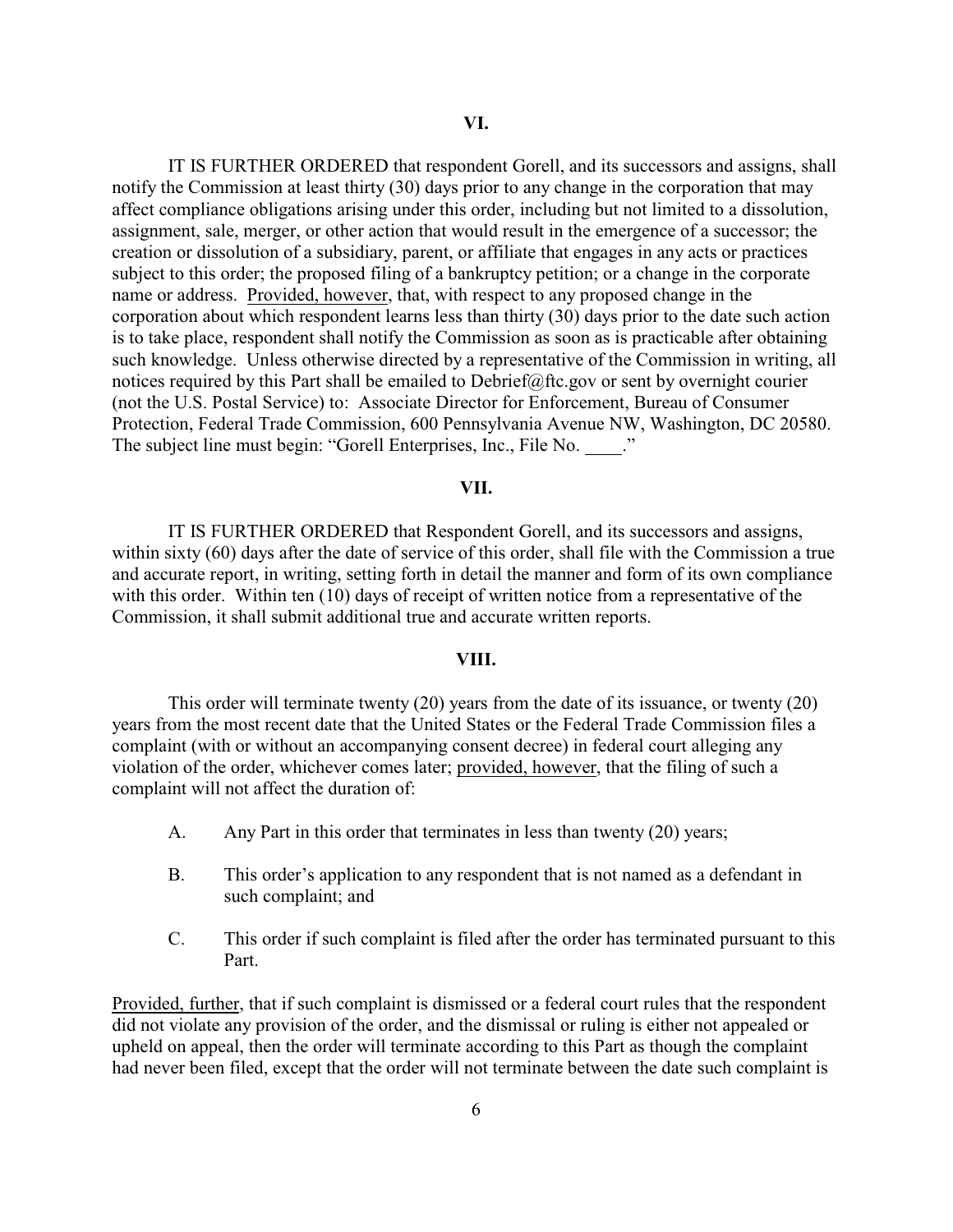IT IS FURTHER ORDERED that respondent Gorell, and its successors and assigns, shall notify the Commission at least thirty (30) days prior to any change in the corporation that may affect compliance obligations arising under this order, including but not limited to a dissolution, assignment, sale, merger, or other action that would result in the emergence of a successor; the creation or dissolution of a subsidiary, parent, or affiliate that engages in any acts or practices subject to this order; the proposed filing of a bankruptcy petition; or a change in the corporate name or address. Provided, however, that, with respect to any proposed change in the corporation about which respondent learns less than thirty (30) days prior to the date such action is to take place, respondent shall notify the Commission as soon as is practicable after obtaining such knowledge. Unless otherwise directed by a representative of the Commission in writing, all notices required by this Part shall be emailed to Debrief@ftc.gov or sent by overnight courier (not the U.S. Postal Service) to: Associate Director for Enforcement, Bureau of Consumer Protection, Federal Trade Commission, 600 Pennsylvania Avenue NW, Washington, DC 20580. The subject line must begin: "Gorell Enterprises, Inc., File No. ..."

## **VII.**

IT IS FURTHER ORDERED that Respondent Gorell, and its successors and assigns, within sixty (60) days after the date of service of this order, shall file with the Commission a true and accurate report, in writing, setting forth in detail the manner and form of its own compliance with this order. Within ten (10) days of receipt of written notice from a representative of the Commission, it shall submit additional true and accurate written reports.

#### **VIII.**

This order will terminate twenty (20) years from the date of its issuance, or twenty (20) years from the most recent date that the United States or the Federal Trade Commission files a complaint (with or without an accompanying consent decree) in federal court alleging any violation of the order, whichever comes later; provided, however, that the filing of such a complaint will not affect the duration of:

- A. Any Part in this order that terminates in less than twenty (20) years;
- B. This order's application to any respondent that is not named as a defendant in such complaint; and
- C. This order if such complaint is filed after the order has terminated pursuant to this Part.

Provided, further, that if such complaint is dismissed or a federal court rules that the respondent did not violate any provision of the order, and the dismissal or ruling is either not appealed or upheld on appeal, then the order will terminate according to this Part as though the complaint had never been filed, except that the order will not terminate between the date such complaint is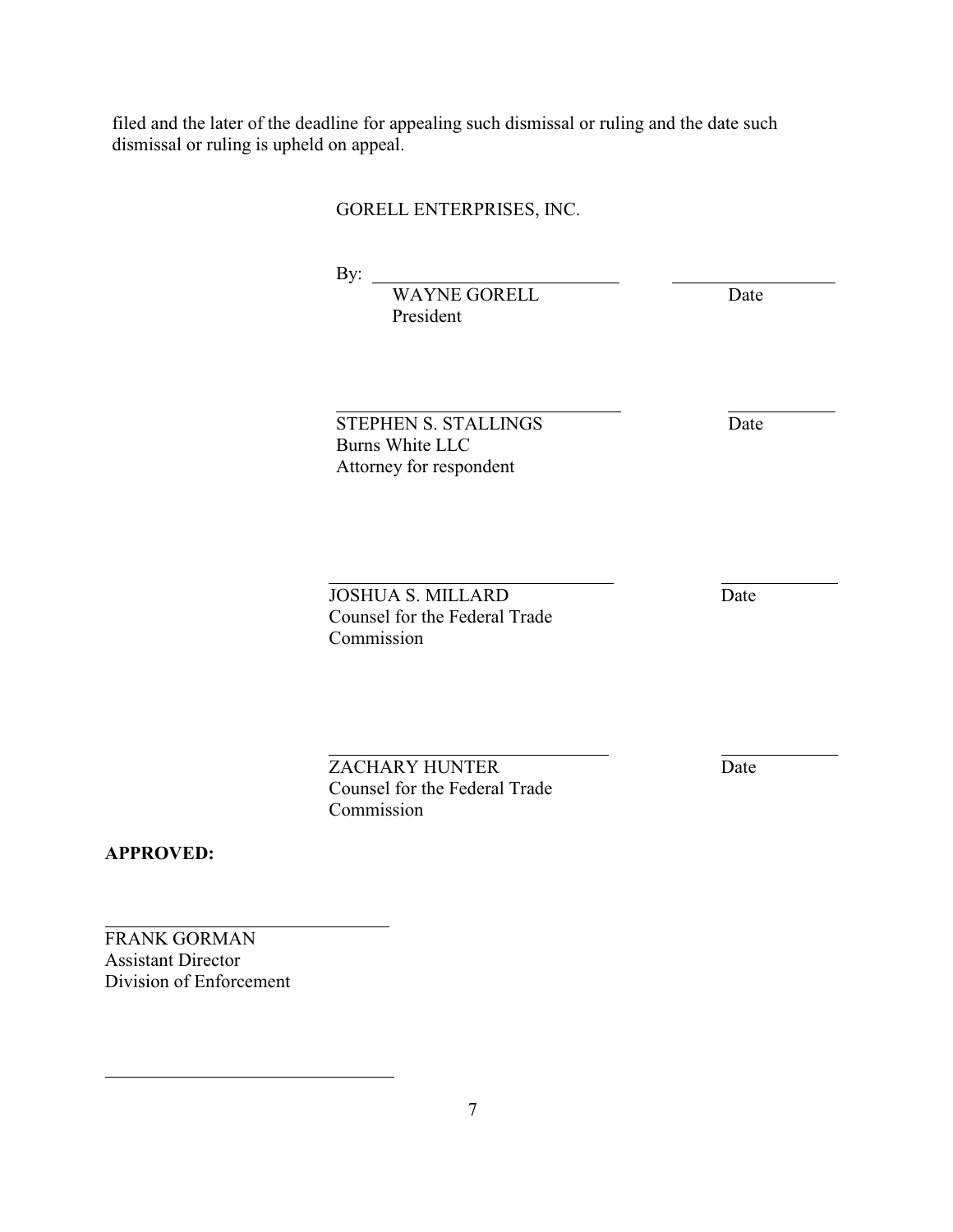filed and the later of the deadline for appealing such dismissal or ruling and the date such dismissal or ruling is upheld on appeal.

# GORELL ENTERPRISES, INC.

By:

l

 $\overline{a}$ 

 $\overline{a}$ 

WAYNE GORELL Date President

STEPHEN S. STALLINGS Date Burns White LLC Attorney for respondent

**JOSHUA S. MILLARD** Date Counsel for the Federal Trade Commission

ZACHARY HUNTER Date Counsel for the Federal Trade Commission

**APPROVED:**

 $\overline{a}$ 

 $\overline{a}$ 

FRANK GORMAN Assistant Director Division of Enforcement